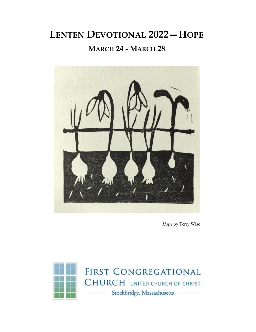# **LENTEN DEVOTIONAL 2022—HOPE MARCH 24 - MARCH 28**



*Hope* by Terry Wise

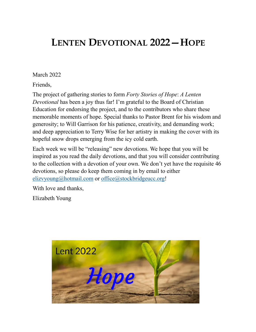## **LENTEN DEVOTIONAL 2022—HOPE**

March 2022

Friends,

The project of gathering stories to form *Forty Stories of Hope*: *A Lenten Devotional* has been a joy thus far! I'm grateful to the Board of Christian Education for endorsing the project, and to the contributors who share these memorable moments of hope. Special thanks to Pastor Brent for his wisdom and generosity; to Will Garrison for his patience, creativity, and demanding work; and deep appreciation to Terry Wise for her artistry in making the cover with its hopeful snow drops emerging from the icy cold earth.

Each week we will be "releasing" new devotions. We hope that you will be inspired as you read the daily devotions, and that you will consider contributing to the collection with a devotion of your own. We don't yet have the requisite 46 devotions, so please do keep them coming in by email to either [elizvyoung@hotmail.com](mailto:elizvyoung@hotmail.com) or office@stockbridgeucc.org!

With love and thanks,

Elizabeth Young

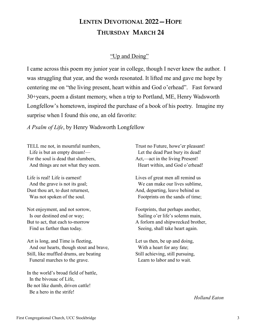### **LENTEN DEVOTIONAL 2022—HOPE THURSDAY MARCH 24**

#### "Up and Doing"

I came across this poem my junior year in college, though I never knew the author. I was struggling that year, and the words resonated. It lifted me and gave me hope by centering me on "the living present, heart within and God o'erhead". Fast forward 30+years, poem a distant memory, when a trip to Portland, ME, Henry Wadsworth Longfellow's hometown, inspired the purchase of a book of his poetry. Imagine my surprise when I found this one, an old favorite:

*A Psalm of Life*, by Henry Wadsworth Longfellow

TELL me not, in mournful numbers, Life is but an empty dream!— For the soul is dead that slumbers, And things are not what they seem.

Life is real! Life is earnest! And the grave is not its goal; Dust thou art, to dust returnest, Was not spoken of the soul.

Not enjoyment, and not sorrow, Is our destined end or way; But to act, that each to-morrow Find us farther than today.

Art is long, and Time is fleeting, And our hearts, though stout and brave, Still, like muffled drums, are beating Funeral marches to the grave.

In the world's broad field of battle, In the bivouac of Life, Be not like dumb, driven cattle! Be a hero in the strife!

Trust no Future, howe'er pleasant! Let the dead Past bury its dead! Act,—act in the living Present! Heart within, and God o'erhead!

Lives of great men all remind us We can make our lives sublime, And, departing, leave behind us Footprints on the sands of time;

Footprints, that perhaps another, Sailing o'er life's solemn main, A forlorn and shipwrecked brother, Seeing, shall take heart again.

Let us then, be up and doing, With a heart for any fate; Still achieving, still pursuing, Learn to labor and to wait.

*Holland Eaton*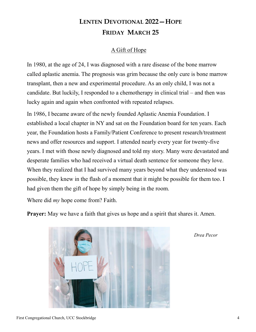### **LENTEN DEVOTIONAL 2022—HOPE FRIDAY MARCH 25**

#### A Gift of Hope

In 1980, at the age of 24, I was diagnosed with a rare disease of the bone marrow called aplastic anemia. The prognosis was grim because the only cure is bone marrow transplant, then a new and experimental procedure. As an only child, I was not a candidate. But luckily, I responded to a chemotherapy in clinical trial – and then was lucky again and again when confronted with repeated relapses.

In 1986, I became aware of the newly founded Aplastic Anemia Foundation. I established a local chapter in NY and sat on the Foundation board for ten years. Each year, the Foundation hosts a Family/Patient Conference to present research/treatment news and offer resources and support. I attended nearly every year for twenty-five years. I met with those newly diagnosed and told my story. Many were devastated and desperate families who had received a virtual death sentence for someone they love. When they realized that I had survived many years beyond what they understood was possible, they knew in the flash of a moment that it might be possible for them too. I had given them the gift of hope by simply being in the room.

Where did *my* hope come from? Faith.

**Prayer:** May we have a faith that gives us hope and a spirit that shares it. Amen.



*Drea Pecor*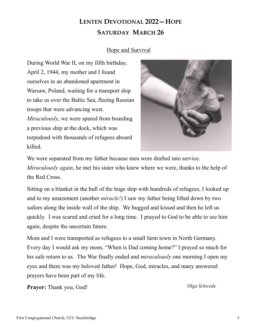### **LENTEN DEVOTIONAL 2022—HOPE SATURDAY MARCH 26**

#### Hope and Survival

During World War II, on my fifth birthday, April 2, 1944, my mother and I found ourselves in an abandoned apartment in Warsaw, Poland, waiting for a transport ship to take us over the Baltic Sea, fleeing Russian troops that were advancing west. *Miraculously*, we were spared from boarding a previous ship at the dock, which was torpedoed with thousands of refugees aboard killed.



We were separated from my father because men were drafted into service. *Miraculously again*, he met his sister who knew where we were, thanks to the help of the Red Cross.

Sitting on a blanket in the hull of the huge ship with hundreds of refugees, I looked up and to my amazement (another *miracle!*) I saw my father being lifted down by two sailors along the inside wall of the ship. We hugged and kissed and then he left us quickly. I was scared and cried for a long time. I prayed to God to be able to see him again, despite the uncertain future.

Mom and I were transported as refugees to a small farm town in North Germany. Every day I would ask my mom, "When is Dad coming home?" I prayed so much for his safe return to us. The War finally ended and *miraculously* one morning I open my eyes and there was my beloved father! Hope, God, miracles, and many answered prayers have been part of my life.

**Prayer:** Thank you, God!

*Olga Schwede*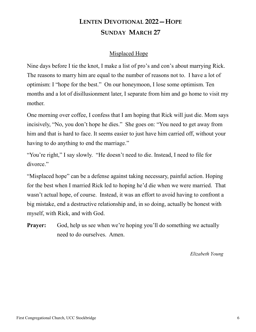### **LENTEN DEVOTIONAL 2022—HOPE SUNDAY MARCH 27**

#### Misplaced Hope

Nine days before I tie the knot, I make a list of pro's and con's about marrying Rick. The reasons to marry him are equal to the number of reasons not to. I have a lot of optimism: I "hope for the best." On our honeymoon, I lose some optimism. Ten months and a lot of disillusionment later, I separate from him and go home to visit my mother.

One morning over coffee, I confess that I am hoping that Rick will just die. Mom says incisively, "No, you don't hope he dies." She goes on: "You need to get away from him and that is hard to face. It seems easier to just have him carried off, without your having to do anything to end the marriage."

"You're right," I say slowly. "He doesn't need to die. Instead, I need to file for divorce."

"Misplaced hope" can be a defense against taking necessary, painful action. Hoping for the best when I married Rick led to hoping he'd die when we were married. That wasn't actual hope, of course. Instead, it was an effort to avoid having to confront a big mistake, end a destructive relationship and, in so doing, actually be honest with myself, with Rick, and with God.

**Prayer:** God, help us see when we're hoping you'll do something we actually need to do ourselves. Amen.

*Elizabeth Young*